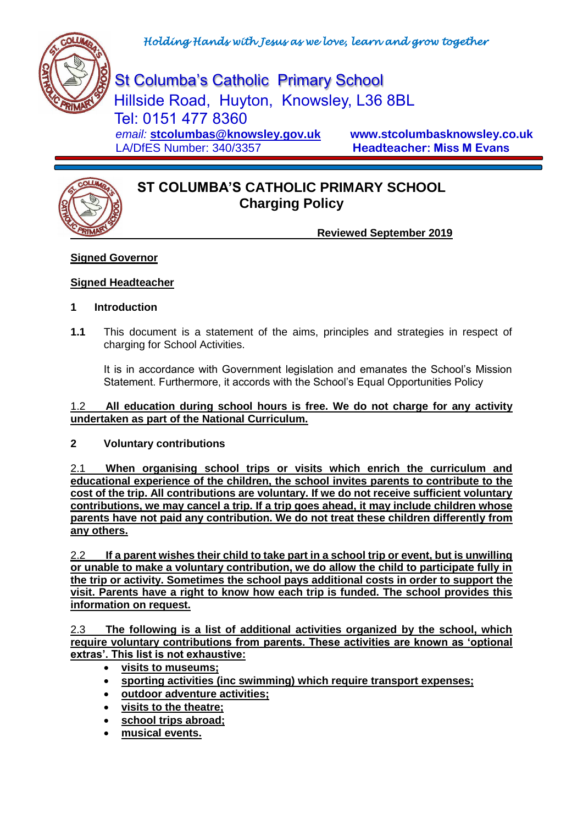

St Columba's Catholic Primary School Hillside Road, Huyton, Knowsley, L36 8BL Tel: 0151 477 8360  *email:* **[stcolumbas@knowsley.gov.uk](mailto:stcolumbas@knowsley.gov.uk) www.stcolumbasknowsley.co.uk** LA/DfES Number: 340/3357 **Headteacher: Miss M Evans**

# **ST COLUMBA'S CATHOLIC PRIMARY SCHOOL Charging Policy**

**Reviewed September 2019**

# **Signed Governor**

# **Signed Headteacher**

## **1 Introduction**

**1.1** This document is a statement of the aims, principles and strategies in respect of charging for School Activities.

It is in accordance with Government legislation and emanates the School's Mission Statement. Furthermore, it accords with the School's Equal Opportunities Policy

#### 1.2 **All education during school hours is free. We do not charge for any activity undertaken as part of the National Curriculum.**

## **2 Voluntary contributions**

2.1 **When organising school trips or visits which enrich the curriculum and educational experience of the children, the school invites parents to contribute to the cost of the trip. All contributions are voluntary. If we do not receive sufficient voluntary contributions, we may cancel a trip. If a trip goes ahead, it may include children whose parents have not paid any contribution. We do not treat these children differently from any others.**

2.2 **If a parent wishes their child to take part in a school trip or event, but is unwilling or unable to make a voluntary contribution, we do allow the child to participate fully in the trip or activity. Sometimes the school pays additional costs in order to support the visit. Parents have a right to know how each trip is funded. The school provides this information on request.**

2.3 **The following is a list of additional activities organized by the school, which require voluntary contributions from parents. These activities are known as 'optional extras'. This list is not exhaustive:**

- **visits to museums;**
- **sporting activities (inc swimming) which require transport expenses;**
- **outdoor adventure activities;**
- **visits to the theatre;**
- **school trips abroad;**
- **musical events.**